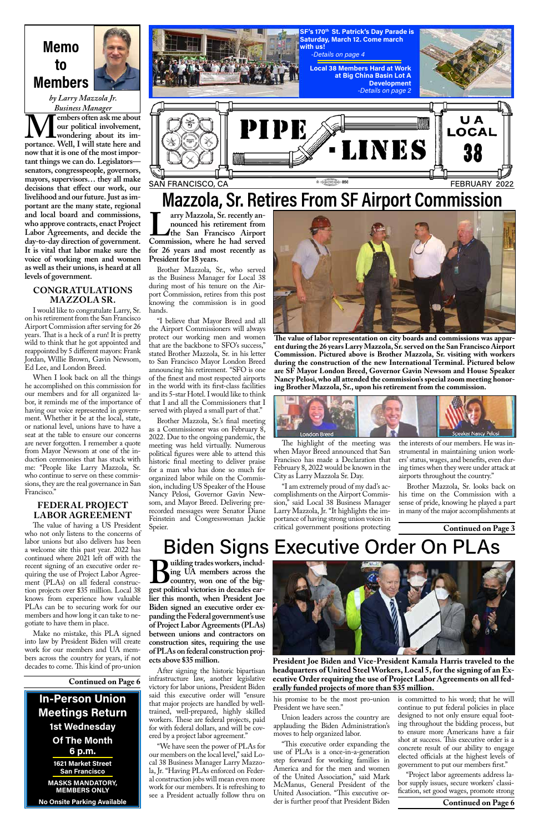## **Memo to Members**

*by Larry Mazzola Jr.*

**Continued on Page 6**

## **Mazzola, Sr. Retires From SF Airport Commission**

**Larry Mazzola, Sr. recently an-**<br> **Larry Mazzola, Sr. recently an-**<br> **Commission, where he had served nounced his retirement from the San Francisco Airport for 26 years and most recently as President for 18 years.**

Brother Mazzola, Sr., who served as the Business Manager for Local 38 during most of his tenure on the Airport Commission, retires from this post knowing the commission is in good hands.

"I believe that Mayor Breed and all the Airport Commissioners will always protect our working men and women that are the backbone to SFO's success," stated Brother Mazzola, Sr. in his letter to San Francisco Mayor London Breed announcing his retirement. "SFO is one of the finest and most respected airports in the world with its first-class facilities and its 5-star Hotel. I would like to think that I and all the Commissioners that I served with played a small part of that."

Brother Mazzola, Sr.'s final meeting as a Commissioner was on February 8, 2022. Due to the ongoing pandemic, the meeting was held virtually. Numerous political figures were able to attend this historic final meeting to deliver praise for a man who has done so much for organized labor while on the Commission, including US Speaker of the House Nancy Pelosi, Governor Gavin Newsom, and Mayor Breed. Delivering prerecorded messages were Senator Diane Feinstein and Congresswoman Jackie Speier.

The highlight of the meeting was when Mayor Breed announced that San Francisco has made a Declaration that February 8, 2022 would be known in the City as Larry Mazzola Sr. Day.

"I am extremely proud of my dad's accomplishments on the Airport Commission," said Local 38 Business Manager Larry Mazzola, Jr. "It highlights the importance of having strong union voices in critical government positions protecting

**Building trades workers, including trades workers, including UA** members across the country, won one of the big**ing UA members across the country, won one of the biglier this month, when President Joe Biden signed an executive order expanding the Federal government's use of Project Labor Agreements (PLAs) between unions and contractors on construction sites, requiring the use of PLAs on federal construction projects above \$35 million.** After signing the historic bipartisan infrastructure law, another legislative victory for labor unions, President Biden said this executive order will "ensure that major projects are handled by welltrained, well-prepared, highly skilled workers. These are federal projects, paid for with federal dollars, and will be covered by a project labor agreement." "We have seen the power of PLAs for our members on the local level," said Local 38 Business Manager Larry Mazzola, Jr. "Having PLAs enforced on Federal construction jobs will mean even more work for our members. It is refreshing to see a President actually follow thru on



the interests of our members. He was instrumental in maintaining union workers' status, wages, and benefits, even during times when they were under attack at airports throughout the country."

Brother Mazzola, Sr. looks back on his time on the Commission with a sense of pride, knowing he played a part in many of the major accomplishments at

**The value of labor representation on city boards and commissions was apparent during the 26 years Larry Mazzola, Sr. served on the San Francisco Airport Commission. Pictured above is Brother Mazzola, Sr. visiting with workers during the construction of the new International Terminal. Pictured below are SF Mayor London Breed, Governor Gavin Newsom and House Speaker Nancy Pelosi, who all attended the commission's special zoom meeting honoring Brother Mazzola, Sr., upon his retirement from the commission.**





**Continued on Page 3**

# Biden Signs Executive Order On PLAs



*Business Manager* **M** embers often ask me about<br>
wondering about its importance. Well, I will state here and **our political involvement, wondering about its imnow that it is one of the most important things we can do. Legislators senators, congresspeople, governors, mayors, supervisors… they all make decisions that effect our work, our livelihood and our future. Just as important are the many state, regional and local board and commissions, who approve contracts, enact Project Labor Agreements, and decide the day-to-day direction of government. It is vital that labor make sure the voice of working men and women as well as their unions, is heard at all levels of government.**

> his promise to be the most pro-union President we have seen."

> Union leaders across the country are applauding the Biden Administration's moves to help organized labor.

> "This executive order expanding the use of PLAs is a once-in-a-generation step forward for working families in America and for the men and women of the United Association," said Mark McManus, General President of the United Association. "This executive order is further proof that President Biden

is committed to his word; that he will continue to put federal policies in place designed to not only ensure equal footing throughout the bidding process, but to ensure more Americans have a fair shot at success. This executive order is a concrete result of our ability to engage elected officials at the highest levels of government to put our members first."

"Project labor agreements address labor supply issues, secure workers' classification, set good wages, promote strong

**President Joe Biden and Vice-President Kamala Harris traveled to the headquarters of United Steel Workers, Local 5, for the signing of an Executive Order requiring the use of Project Labor Agreements on all federally funded projects of more than \$35 million.**

**Continued on Page 6**

**In-Person Union Meetings Return 1st Wednesday Of The Month 6 p.m. 1621 Market Street San Francisco**

> **MASKS MANDATORY, MEMBERS ONLY**

**No Onsite Parking Available**

#### **CONGRATULATIONS MAZZOLA SR.**

I would like to congratulate Larry, Sr. on his retirement from the San Francisco Airport Commission after serving for 26 years. That is a heck of a run! It is pretty wild to think that he got appointed and reappointed by 5 different mayors: Frank Jordan, Willie Brown, Gavin Newsom, Ed Lee, and London Breed.

When I look back on all the things he accomplished on this commission for our members and for all organized labor, it reminds me of the importance of having our voice represented in government. Whether it be at the local, state, or national level, unions have to have a seat at the table to ensure our concerns are never forgotten. I remember a quote from Mayor Newsom at one of the induction ceremonies that has stuck with me: "People like Larry Mazzola, Sr. who continue to serve on these commissions, they are the real governance in San Francisco."

#### **FEDERAL PROJECT LABOR AGREEMENT**

The value of having a US President who not only listens to the concerns of labor unions but also delivers has been a welcome site this past year. 2022 has continued where 2021 left off with the recent signing of an executive order requiring the use of Project Labor Agreement (PLAs) on all federal construction projects over \$35 million. Local 38 knows from experience how valuable PLAs can be to securing work for our

members and how long it can take to negotiate to have them in place.

Make no mistake, this PLA signed into law by President Biden will create work for our members and UA members across the country for years, if not decades to come. This kind of pro-union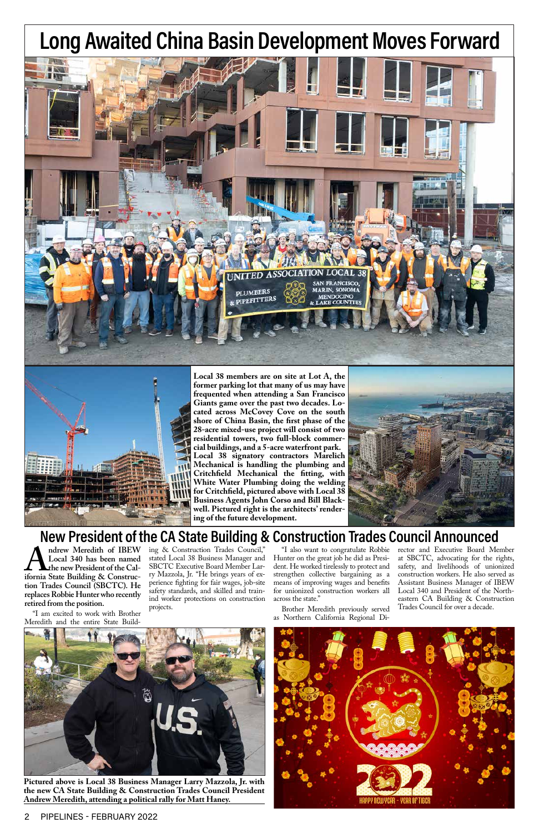2 PIPELINES - FEBRUARY 2022



## **New President of the CA State Building & Construction Trades Council Announced**

**White Water Plumbing doing the welding for Critchfield, pictured above with Local 38 Business Agents John Corso and Bill Blackwell. Pictured right is the architects' render-**

**Andrew Meredith of IBEW**<br> **Local 340 has been named<br>
the new President of the Cal-**<br> **ifornia State Building & Construc-Local 340 has been named the new President of the Caltion Trades Council (SBCTC). He replaces Robbie Hunter who recently retired from the position.**

**ing of the future development.**

## **Long Awaited China Basin Development Moves Forward**

**Pictured above is Local 38 Business Manager Larry Mazzola, Jr. with the new CA State Building & Construction Trades Council President Andrew Meredith, attending a political rally for Matt Haney.**



"I am excited to work with Brother Meredith and the entire State Build-



ing & Construction Trades Council," stated Local 38 Business Manager and SBCTC Executive Board Member Larry Mazzola, Jr. "He brings years of experience fighting for fair wages, job-site safety standards, and skilled and trainind worker protections on construction projects.

"I also want to congratulate Robbie Hunter on the great job he did as President. He worked tirelessly to protect and strengthen collective bargaining as a means of improving wages and benefits for unionized construction workers all across the state."

Brother Meredith previously served as Northern California Regional Di-

rector and Executive Board Member at SBCTC, advocating for the rights, safety, and livelihoods of unionized construction workers. He also served as Assistant Business Manager of IBEW Local 340 and President of the Northeastern CA Building & Construction Trades Council for over a decade.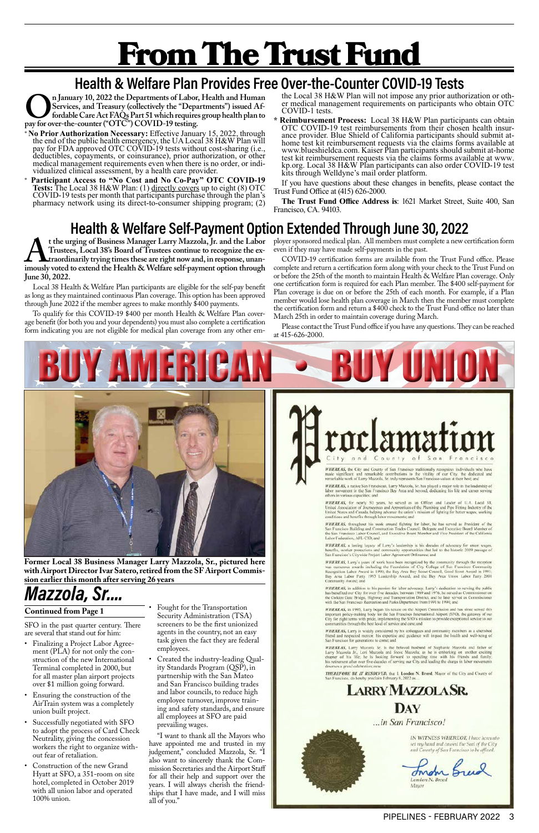# From The Trust Fund

# **Health & Welfare Plan Provides Free Over-the-Counter COVID-19 Tests**<br>
In January 10, 2022 the Departments of Labor, Health and Human the Local 38 H&W Plan will not impose any prior authorization or oth-

SFO in the past quarter century. There are several that stand out for him:

- Finalizing a Project Labor Agreement (PLA) for not only the construction of the new International Terminal completed in 2000, but for all master plan airport projects over \$1 million going forward.
- Ensuring the construction of the AirTrain system was a completely union built project.
- Successfully negotiated with SFO to adopt the process of Card Check Neutrality, giving the concession workers the right to organize without fear of retaliation.
- Construction of the new Grand Hyatt at SFO, a 351-room on site hotel, completed in October 2019 with all union labor and operated 100% union.

• Fought for the Transportation



WHEREAS, the City and County of San Francisco maditionally recognizes individuals who have made significant and remarkable contributions to the vitality of our City, the dedicated and remarkable work of Larry Muzzola, Sr.

**WHEREAS**, a native San Franciscan, Larry Mazzola, Sr. has played a major role in the leadership of labor movement in the San Francisco Bay Area and beyond, dedicating his life and career serving others in various capacities; and

WHEREAS, for nearly 50 years, he served as an Officer and Leader of U.A. Local 38, **WEEKLAS, for neurry 50 years, no served as an Officer and Leader of LiA.** Local 38, United Association of Jeanseyman and Apprenties of the Phambing and Pipe Fitting Industry of the United States and Canada, helping advan

**WHEREAS**, throughout his work around fighting for labor, he has served as President of the San Francisco Building and Construction Trades Council, Delegate and Executive Board Member of the San Francisco Labor Council, an Labor Federation, AFL-CIO: and

WHEREAS, a lasting legacy of Larry's leadership is his decades of advocacy for union wage benefits, worker protections and community opportunities that led to the historic 2019 passage of San Francisco's Citywide Project Labor Agreement Ordinance; and

**WHEREAS,** Larry's years of work have been recognized by the community through the reception was numerous awards including the Foundation of City College of San Francisco Community Recognition Labor Award in 1990; the Bay Community Award; and

WHEREAS, in addition to his passion for labor advocacy. Larry's dedication to serving the public has benefited our City for over five decades; between 1969 and 1976, he served as Commissioner on the Golden Gate Bridge, Hig

WHEREAS, in 1995, Larry began his tenure on the Airport Commission and has since served this

Security Administration (TSA) screeners to be the first unionized agents in the country, not an easy task given the fact they are federal employees.

**On January 10, 2022 the Departments of Labor, Health and Human Services, and Treasury (collectively the "Departments") issued Affordable Care Act FAQs Part 51 which requires group health plan to pay for over-the-counter ( Services, and Treasury (collectively the "Departments") issued Affordable Care Act FAQs Part 51 which requires group health plan to pay for over-the-counter ("OTC") COVID-19 testing.**

- \* **No Prior Authorization Necessary:** Effective January 15, 2022, through the end of the public health emergency, the UA Local 38 H&W Plan will pay for FDA approved OTC COVID-19 tests without cost-sharing (i.e., deductibles, copayments, or coinsurance), prior authorization, or other medical management requirements even when there is no order, or indi- vidualized clinical assessment, by a health care provider.
- \* **Participant Access to "No Cost and No Co-Pay" OTC COVID-19 Tests:** The Local 38 H&W Plan: (1) directly covers up to eight (8) OTC COVID-19 tests per month that participants purchase through the plan's COVID-19 tests per month that participants purchase through the plan's pharmacy network using its direct-to-consumer shipping program; (2)

• Created the industry-leading Quality Standards Program (QSP), in partnership with the San Mateo and San Francisco building trades and labor councils, to reduce high employee turnover, improve training and safety standards, and ensure all employees at SFO are paid prevailing wages.

"I want to thank all the Mayors who have appointed me and trusted in my judgement," concluded Mazzola, Sr. "I also want to sincerely thank the Commission Secretaries and the Airport Staff for all their help and support over the years. I will always cherish the friendships that I have made, and I will miss all of you."

y-making body for the Sen Frai sent Aire et (SFO), the City for eight terms with pride, implementing the SFO's mission to provide exceptional service to our communities through the best level of service and care; and

WHEREAS, Larry is widely considered by his colleagues and community members as a cherished friend and respected mentar, his expertise and guidance will impact the health and well-being of San Francisco for generations to come; and

**WIEREAS**, Larry Mazzola Sr. is the beloved husband of Stephanie Mazzola and futher of Larry Mazzola Jr., Lori Mazzola and Steve Mazzola: as he is embarking on another exciting chapter of his life; he is consider to expec

**THEREFORE BE IT RESOLVED**, that I, London N. Breed, Mayor of the City and County of San Francisco, do hereby proclaim February 8, 2022 as...

## **LARRY MAZZOLA SR. DAY** ...in San Francisco!

IN WITNESS WHEREOF, I have hereunto set my hand and caused the Seal of the City and County of San Francisco to be affixed.

Inder Breed London N. Breed

er medical management requirements on participants who obtain OTC COVID-1 tests.

**Continued from Page 1**





**Former Local 38 Business Manager Larry Mazzola, Sr., pictured here with Airport Director Ivar Satero, retired from the SF Airport Commission earlier this month after serving 26 years**

**Reimbursement Process:** Local 38 H&W Plan participants can obtain OTC COVID-19 test reimbursements from their chosen health insurance provider. Blue Shield of California participants should submit athome test kit reimbursement requests via the claims forms available at www.blueshieldca.com. Kaiser Plan participants should submit at-home test kit reimbursement requests via the claims forms available at www. kp.org. Local 38 H&W Plan participants can also order COVID-19 test kits through Welldyne's mail order platform.

It the urging of Business Manager Larry Mazzola, Jr. and the Labor<br>
Trustees, Local 38's Board of Trustees continue to recognize the ex-<br>
traordinarily trying times these are right now and, in response, unan-<br>
imously vote **Trustees, Local 38's Board of Trustees continue to recognize the extraordinarily trying times these are right now and, in response, unan-June 30, 2022.** 

If you have questions about these changes in benefits, please contact the Trust Fund Office at (415) 626-2000.

**The Trust Fund Office Address is**: 1621 Market Street, Suite 400, San Francisco, CA. 94103.

# **Health & Welfare Self-Payment Option Extended Through June 30, 2022**<br>the urging of Business Manager Larry Mazzola, Jr. and the Labor ployer sponsored medical plan. All members must complete a new ce

Local 38 Health & Welfare Plan participants are eligible for the self-pay benefit as long as they maintained continuous Plan coverage. This option has been approved through June 2022 if the member agrees to make monthly \$400 payments.

To qualify for this COVID-19 \$400 per month Health & Welfare Plan coverage benefit (for both you and your dependents) you must also complete a certification form indicating you are not eligible for medical plan coverage from any other employer sponsored medical plan. All members must complete a new certification form even if they may have made self-payments in the past.

COVID-19 certification forms are available from the Trust Fund office. Please complete and return a certification form along with your check to the Trust Fund on or before the 25th of the month to maintain Health & Welfare Plan coverage. Only one certification form is required for each Plan member. The \$400 self-payment for Plan coverage is due on or before the 25th of each month. For example, if a Plan member would lose health plan coverage in March then the member must complete the certification form and return a \$400 check to the Trust Fund office no later than March 25th in order to maintain coverage during March.

Please contact the Trust Fund office if you have any questions. They can be reached at 415-626-2000.

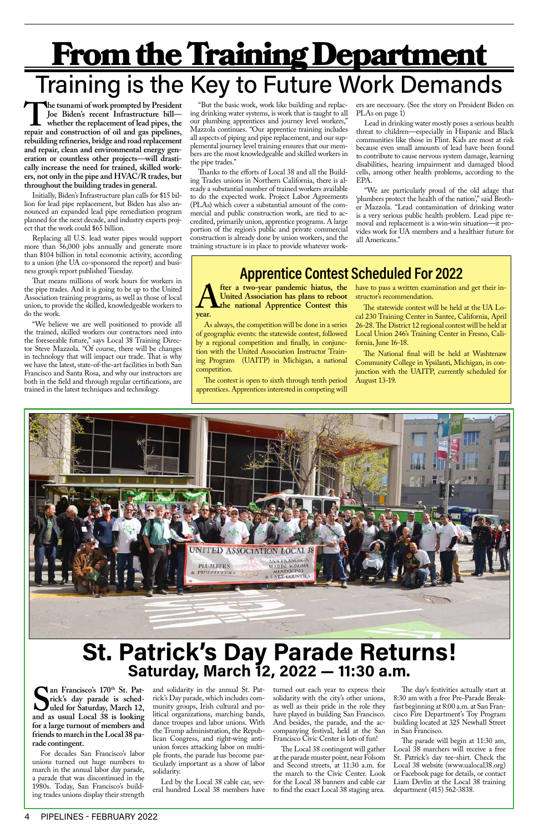# **From the Training Department** Training is the Key to Future Work Demands

The tsunami of work prompted by President Joe Biden's recent Infrastructure bill—<br>
whether the replacement of lead pipes, the<br>
repair and construction of oil and gas pipelines, **Joe Biden's recent Infrastructure bill whether the replacement of lead pipes, the rebuilding refineries, bridge and road replacement and repair, clean and environmental energy generation or countless other projects—will drastically increase the need for trained, skilled workers, not only in the pipe and HVAC/R trades, but throughout the building trades in general.**

Initially, Biden's Infrastructure plan calls for \$15 billion for lead pipe replacement, but Biden has also announced an expanded lead pipe remediation program planned for the next decade, and industry experts project that the work could \$65 billion.

Replacing all U.S. lead water pipes would support more than 56,000 jobs annually and generate more than \$104 billion in total economic activity, according to a union (the UA co-sponsored the report) and business group's report published Tuesday.

That means millions of work hours for workers in the pipe trades. And it is going to be up to the United Association training programs, as well as those of local union, to provide the skilled, knowledgeable workers to do the work.

"We believe we are well positioned to provide all the trained, skilled workers our contractors need into the foreseeable future," says Local 38 Training Director Steve Mazzola. "Of course, there will be changes in technology that will impact our trade. That is why we have the latest, state-of-the-art facilities in both San Francisco and Santa Rosa, and why our instructors are both in the field and through regular certifications, are trained in the latest techniques and technology.

**A** *A Leter a two-year pandemic hiatus, the United Association has plans to reboot the national Apprentice Contest this year.* **United Association has plans to reboot the national Apprentice Contest this year.** 

"But the basic work, work like building and replacing drinking water systems, is work that is taught to all our plumbing apprentices and journey level workers," Mazzola continues. "Our apprentice training includes all aspects of piping and pipe replacement, and our supplemental journey level training ensures that our members are the most knowledgeable and skilled workers in the pipe trades."

> fter a two-year pandemic hiatus, the have to pass a written examination and get their instructor's recommendation.

**SECONDER AND SECONDER SECONDER SECONDER SECONDER AND SECOND UP AND ASSESSMENT AND ASSESSMENT AND A SECOND SECONDER AND LOCAL 38 is looking an Francisco's 170th St. Patrick's day parade is scheduled for Saturday, March 12, for a large turnout of members and friends to march in the Local 38 parade contingent.**

Thanks to the efforts of Local 38 and all the Building Trades unions in Northern California, there is already a substantial number of trained workers available to do the expected work. Project Labor Agreements (PLAs) which cover a substantial amount of the commercial and public construction work, are tied to accredited, primarily union, apprentice programs. A large portion of the region's public and private commercial construction is already done by union workers, and the training structure is in place to provide whatever workers are necessary. (See the story on President Biden on PLAs on page 1)

Lead in drinking water mostly poses a serious health threat to children—especially in Hispanic and Black communities like those in Flint. Kids are most at risk because even small amounts of lead have been found to contribute to cause nervous system damage, learning disabilities, hearing impairment and damaged blood cells, among other health problems, according to the EPA.

"We are particularly proud of the old adage that 'plumbers protect the health of the nation'," said Brother Mazzola. "Lead contamination of drinking water is a very serious public health problem. Lead pipe removal and replacement is a win-win situation—it provides work for UA members and a healthier future for all Americans."

## **Apprentice Contest Scheduled For 2022**

As always, the competition will be done in a series of geographic events: the statewide contest, followed by a regional competition and finally, in conjunction with the United Association Instructor Training Program (UAITP) in Michigan, a national competition.

The contest is open to sixth through tenth period apprentices. Apprentices interested in competing will

The statewide contest will be held at the UA Local 230 Training Center in Santee, California, April 26-28. The District 12 regional contest will be held at Local Union 246's Training Center in Fresno, California, June 16-18.

The National final will be held at Washtenaw Community College in Ypsilanti, Michigan, in conjunction with the UAITP, currently scheduled for August 13-19.



For decades San Francisco's labor unions turned out huge numbers to march in the annual labor day parade, a parade that was discontinued in the 1980s. Today, San Francisco's building trades unions display their strength

and solidarity in the annual St. Patrick's Day parade, which includes community groups, Irish cultural and political organizations, marching bands, dance troupes and labor unions. With the Trump administration, the Republican Congress, and right-wing antiunion forces attacking labor on multiple fronts, the parade has become particularly important as a show of labor solidarity.

Led by the Local 38 cable car, several hundred Local 38 members have turned out each year to express their solidarity with the city's other unions, as well as their pride in the role they have played in building San Francisco. And besides, the parade, and the accompanying festival, held at the San Francisco Civic Center is lots of fun!

The Local 38 contingent will gather at the parade muster point, near Folsom and Second streets, at 11:30 a.m. for the march to the Civic Center. Look for the Local 38 banners and cable car to find the exact Local 38 staging area.

The day's festivities actually start at 8:30 am with a free Pre-Parade Breakfast beginning at 8:00 a.m. at San Francisco Fire Department's Toy Program building located at 325 Newhall Street in San Francisco.

The parade will begin at 11:30 am, Local 38 marchers will receive a free St. Patrick's day tee-shirt. Check the Local 38 website (www.ualocal38.org) or Facebook page for details, or contact Liam Devlin at the Local 38 training department (415) 562-3838.

# **St. Patrick's Day Parade Returns! Saturday, March 12, 2022 — 11:30 a.m.**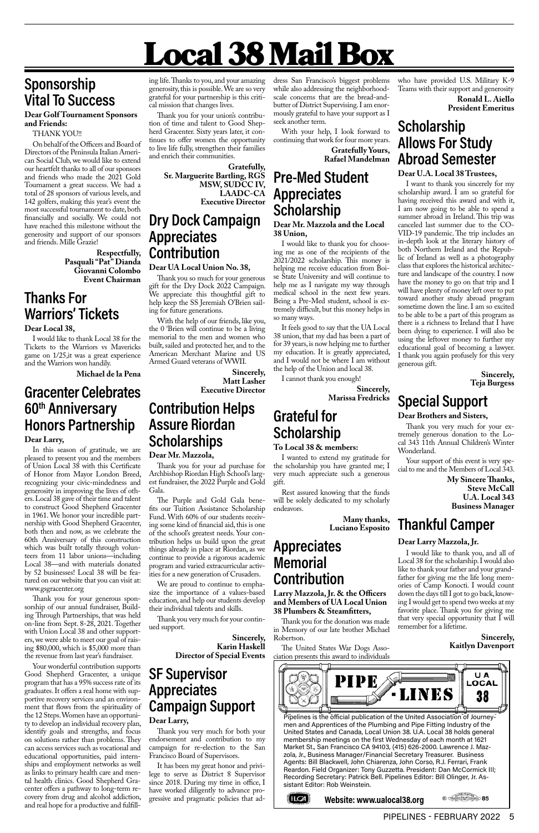⊵ 85

## **Sponsorship Vital To Success**

#### **Dear Golf Tournament Sponsors and Friends:**

#### THANK YOU!!

On behalf of the Officers and Board of Directors of the Peninsula Italian American Social Club, we would like to extend our heartfelt thanks to all of our sponsors and friends who made the 2021 Gold Tournament a great success. We had a total of 28 sponsors of various levels, and 142 golfers, making this year's event the most successful tournament to date, both financially and socially. We could not have reached this milestone without the generosity and support of our sponsors and friends. Mille Grazie!

> **Respectfully, Pasquali "Pat" Dianda Giovanni Colombo Event Chairman**

## **Thanks For Warriors' Tickets**

#### **Dear Local 38,**

I would like to thank Local 38 for the Tickets to the Warriors vs Mavericks game on 1/25,it was a great experience and the Warriors won handily.

**Michael de la Pena**

### **Gracenter Celebrates 60th Anniversary Honors Partnership Dear Larry,**

In this season of gratitude, we are pleased to present you and the members of Union Local 38 with this Certificate of Honor from Mayor London Breed, recognizing your civic-mindedness and generosity in improving the lives of others. Local 38 gave of their time and talent to construct Good Shepherd Gracenter in 1961. We honor your incredible partnership with Good Shepherd Gracenter, both then and now, as we celebrate the 60th Anniversary of this construction which was built totally through volunteers from 11 labor unions—including Local 38—and with materials donated by 52 businesses! Local 38 will be featured on our website that you can visit at: www.gsgracenter.org

Thank you for your generous sponsorship of our annual fundraiser, Building Through Partnerships, that was held on-line from Sept. 8-28, 2021. Together with Union Local 38 and other supporters, we were able to meet our goal of raising \$80,000, which is \$5,000 more than the revenue from last year's fundraiser.

Your wonderful contribution supports Good Shepherd Gracenter, a unique program that has a 95% success rate of its graduates. It offers a real home with supportive recovery services and an environment that flows from the spirituality of the 12 Steps. Women have an opportunity to develop an individual recovery plan, identify goals and strengths, and focus on solutions rather than problems. They can access services such as vocational and educational opportunities, paid internships and employment networks as well as links to primary health care and mental health clinics. Good Shepherd Gracenter offers a pathway to long-term recovery from drug and alcohol addiction, and real hope for a productive and fulfilling life. Thanks to you, and your amazing generosity, this is possible. We are so very grateful for your partnership is this critical mission that changes lives.

Thank you for your union's contribution of time and talent to Good Shepherd Gracenter. Sixty years later, it continues to offer women the opportunity to live life fully, strengthen their families and enrich their communities.

> **Gratefully, Sr. Marguerite Bartling, RGS MSW, SUDCC IV, LAADC-CA Executive Director**

## **Dry Dock Campaign Appreciates Contribution**

#### **Dear UA Local Union No. 38,**

Thank you so much for your generous gift for the Dry Dock 2022 Campaign. We appreciate this thoughtful gift to help keep the SS Jeremiah O'Brien sailing for future generations.

With the help of our friends, like you, the 0 'Brien will continue to be a living memorial to the men and women who built, sailed and protected her, and to the American Merchant Marine and US Armed Guard veterans of WWII.

> **Sincerely, Matt Lasher Executive Director**

### **Contribution Helps Assure Riordan Scholarships**

#### **Dear Mr. Mazzola,**

Thank you for your ad purchase for Archbishop Riordan High School's largest fundraiser, the 2022 Purple and Gold Gala.

The Purple and Gold Gala benefits our Tuition Assistance Scholarship Fund. With 60% of our students receiving some kind of financial aid, this is one of the school's greatest needs. Your contribution helps us build upon the great things already in place at Riordan, as we continue to provide a rigorous academic program and varied extracurricular activities for a new generation of Crusaders.

We are proud to continue to emphasize the importance of a values-based education, and help our students develop their individual talents and skills.

Thank you very much for your continued support.

> **Sincerely, Karin Haskell Director of Special Events**

### **SF Supervisor Appreciates Campaign Support Dear Larry,**

Thank you very much for both your endorsement and contribution to my campaign for re-election to the San Francisco Board of Supervisors.

It has been my great honor and privilege to serve as District 8 Supervisor since 2018. During my time in office, I have worked diligently to advance progressive and pragmatic policies that ad-

dress San Francisco's biggest problems while also addressing the neighborhoodscale concerns that are the bread-andbutter of District Supervising. I am enormously grateful to have your support as I seek another term.

With your help, I look forward to continuing that work for four more years.

> **Gratefully Yours, Rafael Mandelman**

## **Pre-Med Student Appreciates Scholarship**

#### **Dear Mr. Mazzola and the Local 38 Union,**

I would like to thank you for choosing me as one of the recipients of the 2021/2022 scholarship. This money is helping me receive education from Boise State University and will continue to help me as I navigate my way through medical school in the next few years. Being a Pre-Med student, school is extremely difficult, but this money helps in so many ways.

It feels good to say that the UA Local 38 union, that my dad has been a part of for 39 years, is now helping me to further my education. It is greatly appreciated, and I would not be where I am without the help of the Union and local 38.

I cannot thank you enough!

**Sincerely, Marissa Fredricks**

## **Grateful for Scholarship**

#### **To Local 38 & members:**

I wanted to extend my gratitude for the scholarship you have granted me; I very much appreciate such a generous gift.

Rest assured knowing that the funds will be solely dedicated to my scholarly endeavors.

> **Many thanks, Luciano Esposito**

### **Appreciates Memorial Contribution**

**Larry Mazzola, Jr. & the Officers and Members of UA Local Union 38 Plumbers & Steamfitters,**

Thank you for the donation was made in Memory of our late brother Michael Robertson.

The United States War Dogs Association presents this award to individuals who have provided U.S. Military K-9 Teams with their support and generosity

> **Ronald L. Aiello President Emeritus**

## **Scholarship Allows For Study Abroad Semester**

#### **Dear U.A. Local 38 Trustees,**

I want to thank you sincerely for my scholarship award. I am so grateful for having received this award and with it, I am now going to be able to spend a summer abroad in Ireland. This trip was canceled last summer due to the CO-VID-19 pandemic. The trip includes an in-depth look at the literary history of both Northern Ireland and the Republic of Ireland as well as a photography class that explores the historical architecture and landscape of the country. I now have the money to go on that trip and I will have plenty of money left over to put toward another study abroad program sometime down the line. I am so excited to be able to be a part of this program as there is a richness to Ireland that I have been dying to experience. I will also be using the leftover money to further my educational goal of becoming a lawyer. I thank you again profusely for this very generous gift.

> **Sincerely, Teja Burgess**

## **Special Support**

#### **Dear Brothers and Sisters,**

Thank you very much for your extremely generous donation to the Local 343 11th Annual Children's Winter Wonderland.

Your support of this event is very special to me and the Members of Local 343.

> **My Sincere Thanks, Steve McCall U.A. Local 343 Business Manager**

## **Thankful Camper**

#### **Dear Larry Mazzola, Jr.**

I would like to thank you, and all of Local 38 for the scholarship. I would also like to thank your father and your grandfather for giving me the life long memories of Camp Konocti. I would count down the days till I got to go back, knowing I would get to spend two weeks at my favorite place. Thank you for giving me that very special opportunity that I will remember for a lifetime.

> **Sincerely, Kaitlyn Davenport**



# Local 38 Mail Box

Pipelines is the official publication of the United Association of Journeymen and Apprentices of the Plumbing and Pipe Fitting Industry of the United States and Canada, Local Union 38. U.A. Local 38 holds general membership meetings on the first Wednesday of each month at 1621 Market St., San Francisco CA 94103, (415) 626-2000. Lawrence J. Mazzola, Jr., Business Manager/Financial Secretary Treasurer. Business Agents: Bill Blackwell, John Chiarenza, John Corso, R.J. Ferrari, Frank Reardon. Field Organizer: Tony Guzzetta. President: Dan McCormick III; Recording Secretary: Patrick Bell. Pipelines Editor: Bill Olinger, Jr. Assistant Editor: Rob Weinstein.



**Website: www.ualocal38.org**